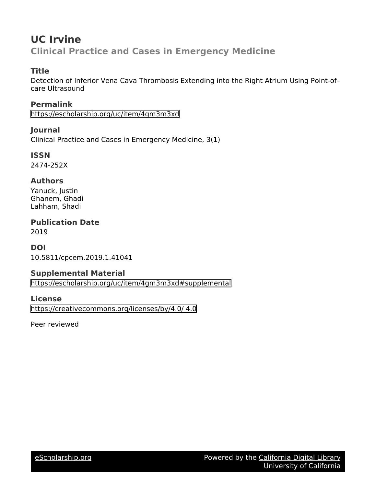## **UC Irvine Clinical Practice and Cases in Emergency Medicine**

## **Title**

Detection of Inferior Vena Cava Thrombosis Extending into the Right Atrium Using Point-ofcare Ultrasound

**Permalink** <https://escholarship.org/uc/item/4gm3m3xd>

**Journal** Clinical Practice and Cases in Emergency Medicine, 3(1)

**ISSN** 2474-252X

## **Authors**

Yanuck, Justin Ghanem, Ghadi Lahham, Shadi

**Publication Date** 2019

**DOI** 10.5811/cpcem.2019.1.41041

## **Supplemental Material**

<https://escholarship.org/uc/item/4gm3m3xd#supplemental>

## **License**

[https://creativecommons.org/licenses/by/4.0/ 4.0](https://creativecommons.org/licenses/https://creativecommons.org/licenses/by/4.0//4.0)

Peer reviewed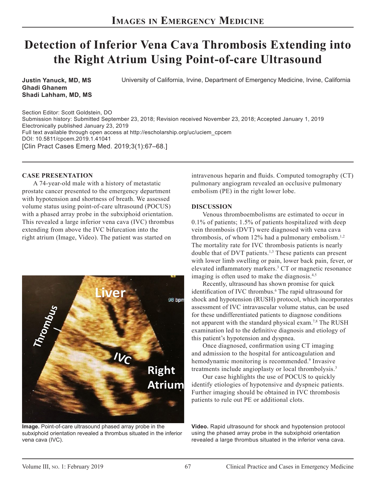# **Detection of Inferior Vena Cava Thrombosis Extending into the Right Atrium Using Point-of-care Ultrasound**

**Justin Yanuck, MD, MS Ghadi Ghanem Shadi Lahham, MD, MS** University of California, Irvine, Department of Emergency Medicine, Irvine, California

Section Editor: Scott Goldstein, DO Submission history: Submitted September 23, 2018; Revision received November 23, 2018; Accepted January 1, 2019 Electronically published January 23, 2019 Full text available through open access at http://escholarship.org/uc/uciem\_cpcem DOI: 10.5811/cpcem.2019.1.41041 [Clin Pract Cases Emerg Med. 2019;3(1):67–68.]

### **CASE PRESENTATION**

A 74-year-old male with a history of metastatic prostate cancer presented to the emergency department with hypotension and shortness of breath. We assessed volume status using point-of-care ultrasound (POCUS) with a phased array probe in the subxiphoid orientation. This revealed a large inferior vena cava (IVC) thrombus extending from above the IVC bifurcation into the right atrium (Image, Video). The patient was started on



**Image.** Point-of-care ultrasound phased array probe in the subxiphoid orientation revealed a thrombus situated in the inferior vena cava (IVC).

intravenous heparin and fluids. Computed tomography (CT) pulmonary angiogram revealed an occlusive pulmonary embolism (PE) in the right lower lobe.

### **DISCUSSION**

Venous thromboembolisms are estimated to occur in 0.1% of patients; 1.5% of patients hospitalized with deep vein thrombosis (DVT) were diagnosed with vena cava thrombosis, of whom  $12\%$  had a pulmonary embolism.<sup>1,2</sup> The mortality rate for IVC thrombosis patients is nearly double that of DVT patients.<sup>1,3</sup> These patients can present with lower limb swelling or pain, lower back pain, fever, or elevated inflammatory markers.<sup>3</sup> CT or magnetic resonance imaging is often used to make the diagnosis.<sup>4,5</sup>

Recently, ultrasound has shown promise for quick identification of IVC thrombus.<sup>6</sup> The rapid ultrasound for shock and hypotension (RUSH) protocol, which incorporates assessment of IVC intravascular volume status, can be used for these undifferentiated patients to diagnose conditions not apparent with the standard physical exam.7,8 The RUSH examination led to the definitive diagnosis and etiology of this patient's hypotension and dyspnea.

Once diagnosed, confirmation using CT imaging and admission to the hospital for anticoagulation and hemodynamic monitoring is recommended.<sup>9</sup> Invasive treatments include angioplasty or local thrombolysis.3

Our case highlights the use of POCUS to quickly identify etiologies of hypotensive and dyspneic patients. Further imaging should be obtained in IVC thrombosis patients to rule out PE or additional clots.

**Video.** Rapid ultrasound for shock and hypotension protocol using the phased array probe in the subxiphoid orientation revealed a large thrombus situated in the inferior vena cava.